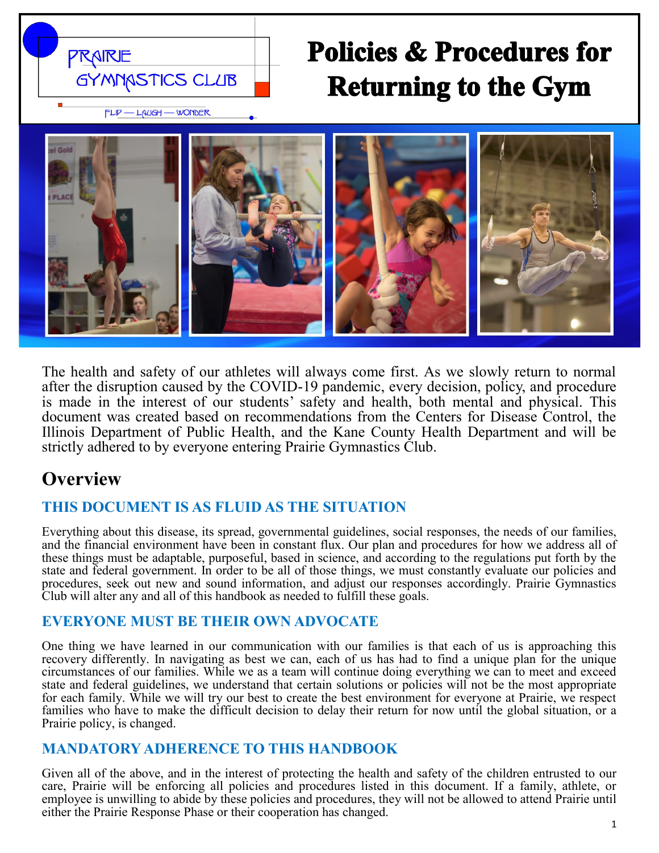

# **Policies & Procedures for Returning to the Gym**



The health and safety of our athletes will always come first. As we slowly return to normal after the disruption caused by the COVID-19 pandemic, every decision, policy, and procedure is made in the interest of our students' safety and health, both mental and physical. This document was created based on recommendations from the Centers for Disease Control, the Illinois Department of Public Health, and the Kane County Health Department and will be strictly adhered to by everyone entering Prairie Gymnastics Club.

## **Overview**

### **THIS DOCUMENT IS AS FLUID AS THE SITUATION**

Everything about this disease, its spread, governmental guidelines, social responses, the needs of our families, and the financial environment have been in constant flux. Our plan and procedures for how we address all of these things must be adaptable, purposeful, based in science, and according to the regulations put forth by the state and federal government. In order to be all of those things, we must constantly evaluate our policies and procedures, seek out new and sound information, and adjust our responses accordingly. Prairie Gymnastics Club will alter any and all of this handbook as needed to fulfill these goals.

### **EVERYONE MUST BE THEIR OWN ADVOCATE**

One thing we have learned in our communication with our families is that each of us is approaching this recovery differently. In navigating as best we can, each of us has had to find a unique plan for the unique circumstances of our families. While we as a team will continue doing everything we can to meet and exceed state and federal guidelines, we understand that certain solutions or policies will not be the most appropriate for each family. While we will try our best to create the best environment for everyone at Prairie, we respect families who have to make the difficult decision to delay their return for now until the global situation, or a Prairie policy, is changed.

### **MANDATORY ADHERENCE TO THIS HANDBOOK**

Given all of the above, and in the interest of protecting the health and safety of the children entrusted to our care, Prairie will be enforcing all policies and procedures listed in this document. If a family, athlete, or employee is unwilling to abide by these policies and procedures, they will not be allowed to attend Prairie until either the Prairie Response Phase or their cooperation has changed.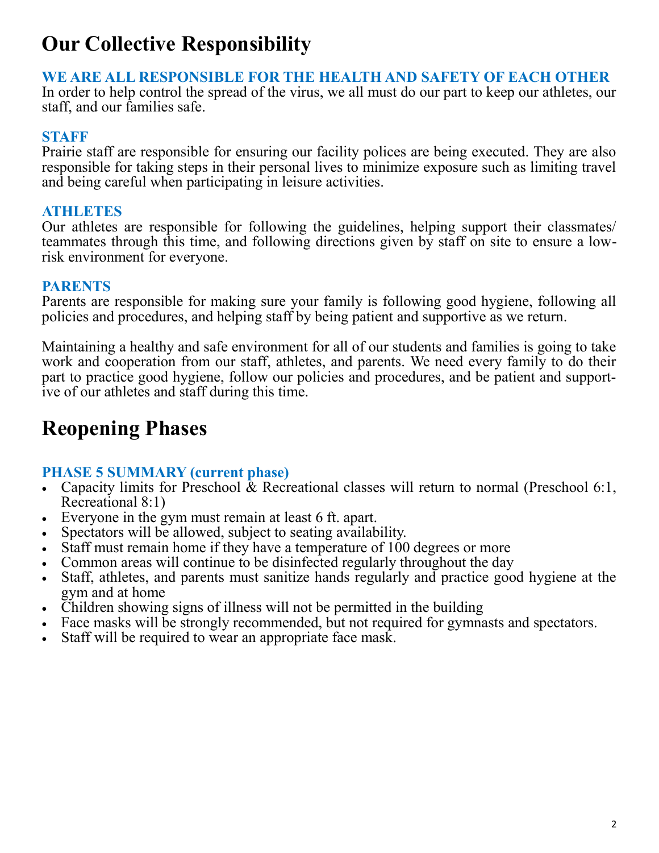## **Our Collective Responsibility**

### **WE ARE ALL RESPONSIBLE FOR THE HEALTH AND SAFETY OF EACH OTHER**

In order to help control the spread of the virus, we all must do our part to keep our athletes, our staff, and our families safe.

### **STAFF**

Prairie staff are responsible for ensuring our facility polices are being executed. They are also responsible for taking steps in their personal lives to minimize exposure such as limiting travel and being careful when participating in leisure activities.

### **ATHLETES**

Our athletes are responsible for following the guidelines, helping support their classmates/ teammates through this time, and following directions given by staff on site to ensure a lowrisk environment for everyone.

### **PARENTS**

Parents are responsible for making sure your family is following good hygiene, following all policies and procedures, and helping staff by being patient and supportive as we return.

Maintaining a healthy and safe environment for all of our students and families is going to take work and cooperation from our staff, athletes, and parents. We need every family to do their part to practice good hygiene, follow our policies and procedures, and be patient and supportive of our athletes and staff during this time.

## **Reopening Phases**

### **PHASE 5 SUMMARY (current phase)**

- Capacity limits for Preschool  $\&$  Recreational classes will return to normal (Preschool 6:1, Recreational 8:1)
- Everyone in the gym must remain at least 6 ft. apart.
- Spectators will be allowed, subject to seating availability.
- Staff must remain home if they have a temperature of 100 degrees or more
- Common areas will continue to be disinfected regularly throughout the day
- Staff, athletes, and parents must sanitize hands regularly and practice good hygiene at the gym and at home
- Children showing signs of illness will not be permitted in the building
- Face masks will be strongly recommended, but not required for gymnasts and spectators.
- Staff will be required to wear an appropriate face mask.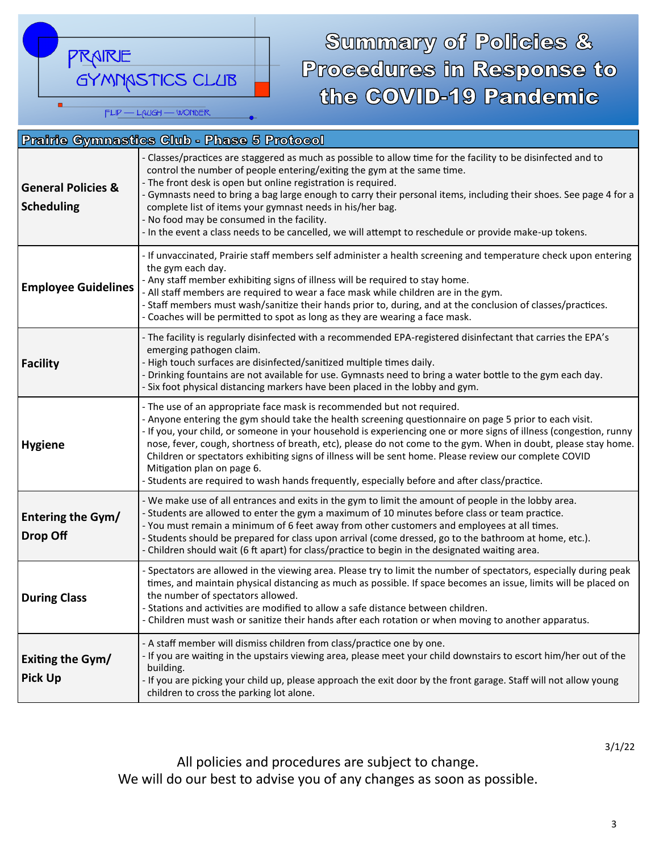PRAIRE GYMNASTICS CLUB  $FLIP - LALGH - WONDER$ 

# Summary of Policies & Procedures in Response to the COVID-19 Pandemic

| <b>Prairie Gymnastics Club - Phase 5 Protocol</b>  |                                                                                                                                                                                                                                                                                                                                                                                                                                                                                                                                                                                                                                                                    |
|----------------------------------------------------|--------------------------------------------------------------------------------------------------------------------------------------------------------------------------------------------------------------------------------------------------------------------------------------------------------------------------------------------------------------------------------------------------------------------------------------------------------------------------------------------------------------------------------------------------------------------------------------------------------------------------------------------------------------------|
| <b>General Policies &amp;</b><br><b>Scheduling</b> | - Classes/practices are staggered as much as possible to allow time for the facility to be disinfected and to<br>control the number of people entering/exiting the gym at the same time.<br>- The front desk is open but online registration is required.<br>- Gymnasts need to bring a bag large enough to carry their personal items, including their shoes. See page 4 for a<br>complete list of items your gymnast needs in his/her bag.<br>- No food may be consumed in the facility.<br>- In the event a class needs to be cancelled, we will attempt to reschedule or provide make-up tokens.                                                               |
| <b>Employee Guidelines</b>                         | - If unvaccinated, Prairie staff members self administer a health screening and temperature check upon entering<br>the gym each day.<br>- Any staff member exhibiting signs of illness will be required to stay home.<br>- All staff members are required to wear a face mask while children are in the gym.<br>- Staff members must wash/sanitize their hands prior to, during, and at the conclusion of classes/practices.<br>- Coaches will be permitted to spot as long as they are wearing a face mask.                                                                                                                                                       |
| <b>Facility</b>                                    | - The facility is regularly disinfected with a recommended EPA-registered disinfectant that carries the EPA's<br>emerging pathogen claim.<br>High touch surfaces are disinfected/sanitized multiple times daily.<br>Drinking fountains are not available for use. Gymnasts need to bring a water bottle to the gym each day.<br>- Six foot physical distancing markers have been placed in the lobby and gym.                                                                                                                                                                                                                                                      |
| <b>Hygiene</b>                                     | - The use of an appropriate face mask is recommended but not required.<br>- Anyone entering the gym should take the health screening questionnaire on page 5 prior to each visit.<br>- If you, your child, or someone in your household is experiencing one or more signs of illness (congestion, runny<br>nose, fever, cough, shortness of breath, etc), please do not come to the gym. When in doubt, please stay home.<br>Children or spectators exhibiting signs of illness will be sent home. Please review our complete COVID<br>Mitigation plan on page 6.<br>- Students are required to wash hands frequently, especially before and after class/practice. |
| <b>Entering the Gym/</b><br>Drop Off               | - We make use of all entrances and exits in the gym to limit the amount of people in the lobby area.<br>- Students are allowed to enter the gym a maximum of 10 minutes before class or team practice.<br>- You must remain a minimum of 6 feet away from other customers and employees at all times.<br>- Students should be prepared for class upon arrival (come dressed, go to the bathroom at home, etc.).<br>- Children should wait (6 ft apart) for class/practice to begin in the designated waiting area.                                                                                                                                                 |
| <b>During Class</b>                                | - Spectators are allowed in the viewing area. Please try to limit the number of spectators, especially during peak<br>times, and maintain physical distancing as much as possible. If space becomes an issue, limits will be placed on<br>the number of spectators allowed.<br>- Stations and activities are modified to allow a safe distance between children.<br>- Children must wash or sanitize their hands after each rotation or when moving to another apparatus.                                                                                                                                                                                          |
| Exiting the Gym/<br><b>Pick Up</b>                 | - A staff member will dismiss children from class/practice one by one.<br>- If you are waiting in the upstairs viewing area, please meet your child downstairs to escort him/her out of the<br>building.<br>- If you are picking your child up, please approach the exit door by the front garage. Staff will not allow young<br>children to cross the parking lot alone.                                                                                                                                                                                                                                                                                          |

All policies and procedures are subject to change. We will do our best to advise you of any changes as soon as possible.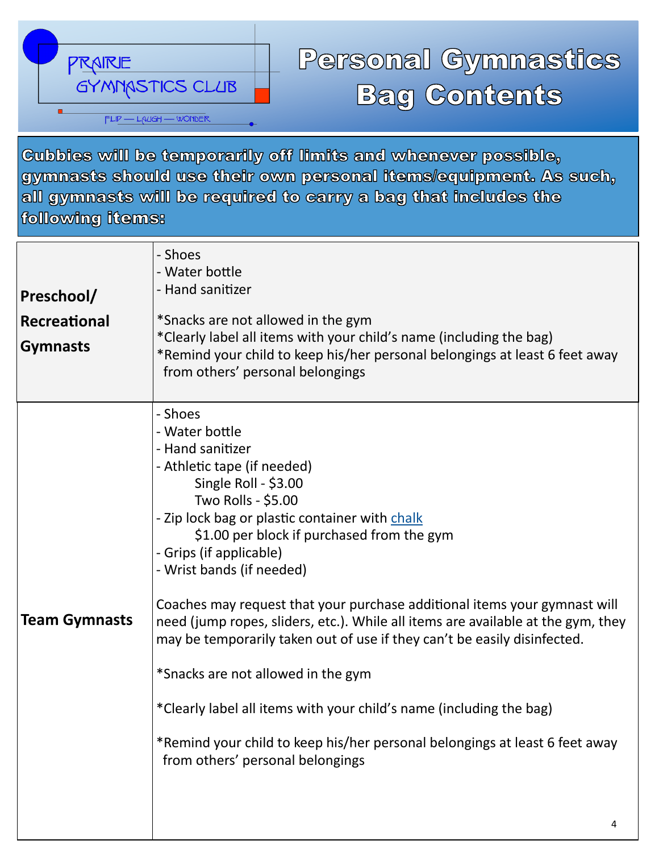

# Personal Gymnastics **Bag Contents**

**Cubbies will be temporarily off limits and whenever possible,** gymnasts should use their own personal items/equipment. As such, all gymnasts will be required to carry a bag that includes the following items:

| Preschool/<br>Recreational<br><b>Gymnasts</b> | - Shoes<br>- Water bottle<br>- Hand sanitizer<br>*Snacks are not allowed in the gym<br>*Clearly label all items with your child's name (including the bag)<br>*Remind your child to keep his/her personal belongings at least 6 feet away<br>from others' personal belongings                                                                                                                                                                                                                                                                                                                                                                                                                                                                                   |
|-----------------------------------------------|-----------------------------------------------------------------------------------------------------------------------------------------------------------------------------------------------------------------------------------------------------------------------------------------------------------------------------------------------------------------------------------------------------------------------------------------------------------------------------------------------------------------------------------------------------------------------------------------------------------------------------------------------------------------------------------------------------------------------------------------------------------------|
| <b>Team Gymnasts</b>                          | - Shoes<br>- Water bottle<br>- Hand sanitizer<br>- Athletic tape (if needed)<br>Single Roll - \$3.00<br>Two Rolls - \$5.00<br>- Zip lock bag or plastic container with chalk<br>\$1.00 per block if purchased from the gym<br>- Grips (if applicable)<br>- Wrist bands (if needed)<br>Coaches may request that your purchase additional items your gymnast will<br>need (jump ropes, sliders, etc.). While all items are available at the gym, they<br>may be temporarily taken out of use if they can't be easily disinfected.<br>*Snacks are not allowed in the gym<br>*Clearly label all items with your child's name (including the bag)<br>*Remind your child to keep his/her personal belongings at least 6 feet away<br>from others' personal belongings |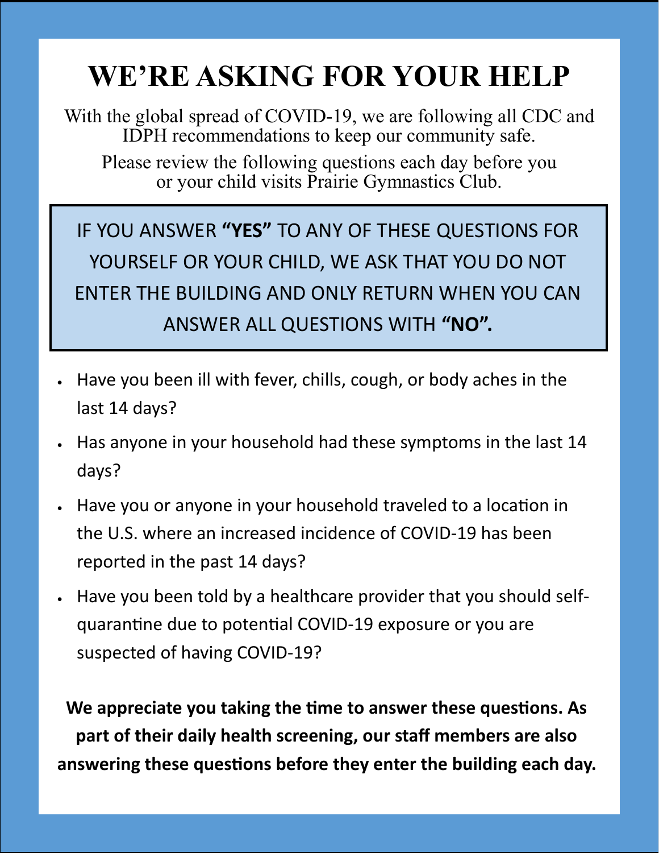# **WE'RE ASKING FOR YOUR HELP**

With the global spread of COVID-19, we are following all CDC and IDPH recommendations to keep our community safe.

Please review the following questions each day before you or your child visits Prairie Gymnastics Club.

IF YOU ANSWER **"YES"** TO ANY OF THESE QUESTIONS FOR YOURSELF OR YOUR CHILD, WE ASK THAT YOU DO NOT ENTER THE BUILDING AND ONLY RETURN WHEN YOU CAN ANSWER ALL QUESTIONS WITH **"NO".**

- Have you been ill with fever, chills, cough, or body aches in the last 14 days?
- Has anyone in your household had these symptoms in the last 14 days?
- Have you or anyone in your household traveled to a location in the U.S. where an increased incidence of COVID-19 has been reported in the past 14 days?
- Have you been told by a healthcare provider that you should selfquarantine due to potential COVID-19 exposure or you are suspected of having COVID-19?

**We appreciate you taking the time to answer these questions. As part of their daily health screening, our staff members are also answering these questions before they enter the building each day.**